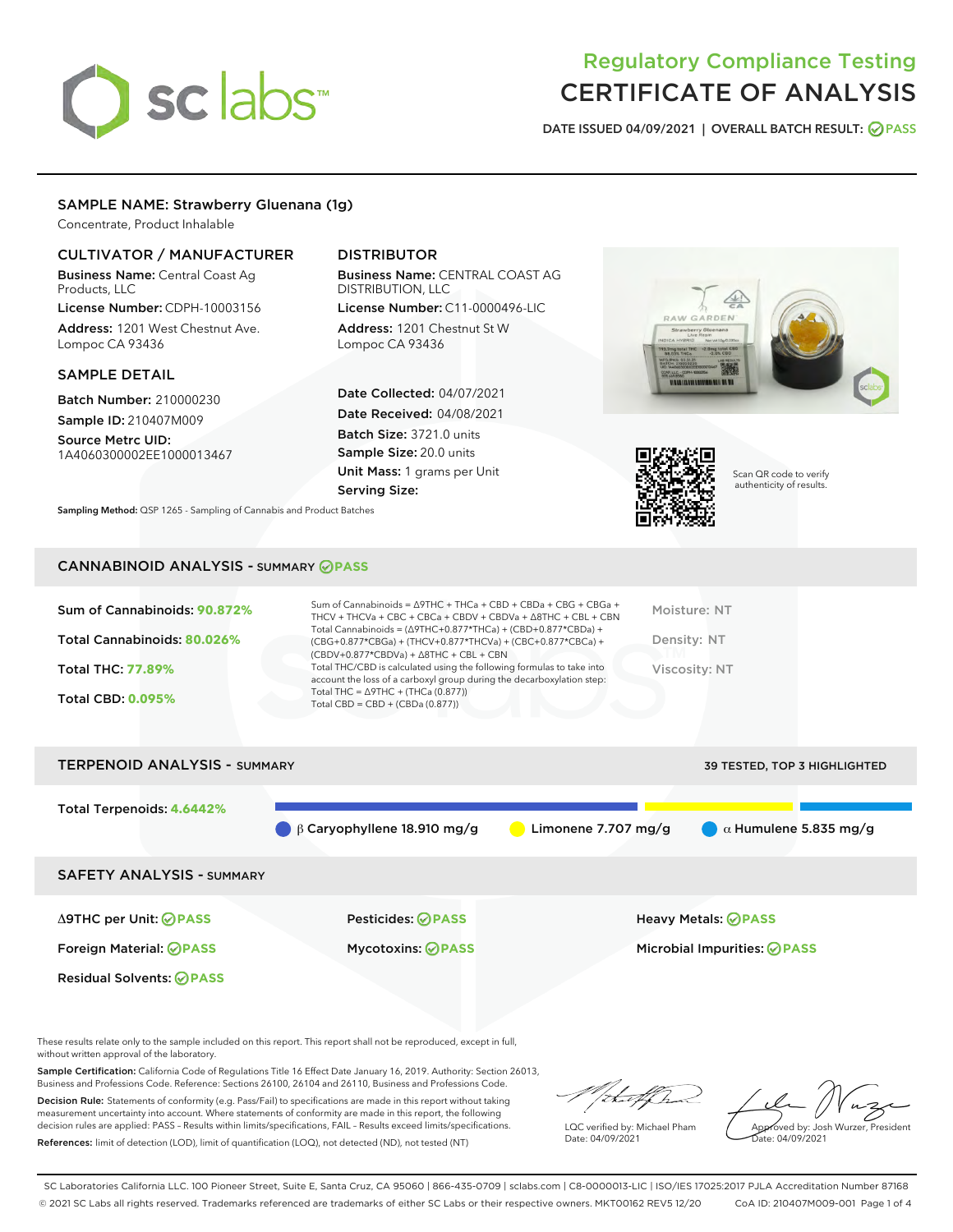# sclabs

# Regulatory Compliance Testing CERTIFICATE OF ANALYSIS

DATE ISSUED 04/09/2021 | OVERALL BATCH RESULT: @ PASS

# SAMPLE NAME: Strawberry Gluenana (1g)

Concentrate, Product Inhalable

# CULTIVATOR / MANUFACTURER

Business Name: Central Coast Ag Products, LLC

License Number: CDPH-10003156 Address: 1201 West Chestnut Ave. Lompoc CA 93436

## SAMPLE DETAIL

Batch Number: 210000230 Sample ID: 210407M009

Source Metrc UID: 1A4060300002EE1000013467

# DISTRIBUTOR

Business Name: CENTRAL COAST AG DISTRIBUTION, LLC

License Number: C11-0000496-LIC Address: 1201 Chestnut St W Lompoc CA 93436

Date Collected: 04/07/2021 Date Received: 04/08/2021 Batch Size: 3721.0 units Sample Size: 20.0 units Unit Mass: 1 grams per Unit Serving Size:

Sampling Method: QSP 1265 - Sampling of Cannabis and Product Batches





Scan QR code to verify authenticity of results.

# CANNABINOID ANALYSIS - SUMMARY **PASS**

| Sum of Cannabinoids: 90.872%<br>Total Cannabinoids: 80.026%<br><b>Total THC: 77.89%</b><br><b>Total CBD: 0.095%</b> | Sum of Cannabinoids = $\triangle$ 9THC + THCa + CBD + CBDa + CBG + CBGa +<br>THCV + THCVa + CBC + CBCa + CBDV + CBDVa + $\Delta$ 8THC + CBL + CBN<br>Total Cannabinoids = $(\Delta$ 9THC+0.877*THCa) + (CBD+0.877*CBDa) +<br>$(CBG+0.877*CBGa) + (THCV+0.877*THCVa) + (CBC+0.877*CBCa) +$<br>$(CBDV+0.877*CBDVa) + \Delta 8THC + CBL + CBN$<br>Total THC/CBD is calculated using the following formulas to take into<br>account the loss of a carboxyl group during the decarboxylation step:<br>Total THC = $\triangle$ 9THC + (THCa (0.877))<br>Total CBD = $CBD + (CBDa (0.877))$ | Moisture: NT<br>Density: NT<br>Viscosity: NT |
|---------------------------------------------------------------------------------------------------------------------|--------------------------------------------------------------------------------------------------------------------------------------------------------------------------------------------------------------------------------------------------------------------------------------------------------------------------------------------------------------------------------------------------------------------------------------------------------------------------------------------------------------------------------------------------------------------------------------|----------------------------------------------|
| <b>TERPENOID ANALYSIS - SUMMARY</b>                                                                                 |                                                                                                                                                                                                                                                                                                                                                                                                                                                                                                                                                                                      | 39 TESTED. TOP 3 HIGHLIGHTED                 |

Total Terpenoids: **4.6442% β Caryophyllene 18.910 mg/g a Limonene 7.707 mg/g a Aumulene 5.835 mg/g** SAFETY ANALYSIS - SUMMARY Δ9THC per Unit: **PASS** Pesticides: **PASS** Heavy Metals: **PASS** Foreign Material: **PASS** Mycotoxins: **PASS** Microbial Impurities: **PASS** Residual Solvents: **PASS** 

These results relate only to the sample included on this report. This report shall not be reproduced, except in full, without written approval of the laboratory.

Sample Certification: California Code of Regulations Title 16 Effect Date January 16, 2019. Authority: Section 26013, Business and Professions Code. Reference: Sections 26100, 26104 and 26110, Business and Professions Code.

Decision Rule: Statements of conformity (e.g. Pass/Fail) to specifications are made in this report without taking measurement uncertainty into account. Where statements of conformity are made in this report, the following decision rules are applied: PASS – Results within limits/specifications, FAIL – Results exceed limits/specifications. References: limit of detection (LOD), limit of quantification (LOQ), not detected (ND), not tested (NT)

da f fr

LQC verified by: Michael Pham Date: 04/09/2021

Approved by: Josh Wurzer, President ate: 04/09/2021

SC Laboratories California LLC. 100 Pioneer Street, Suite E, Santa Cruz, CA 95060 | 866-435-0709 | sclabs.com | C8-0000013-LIC | ISO/IES 17025:2017 PJLA Accreditation Number 87168 © 2021 SC Labs all rights reserved. Trademarks referenced are trademarks of either SC Labs or their respective owners. MKT00162 REV5 12/20 CoA ID: 210407M009-001 Page 1 of 4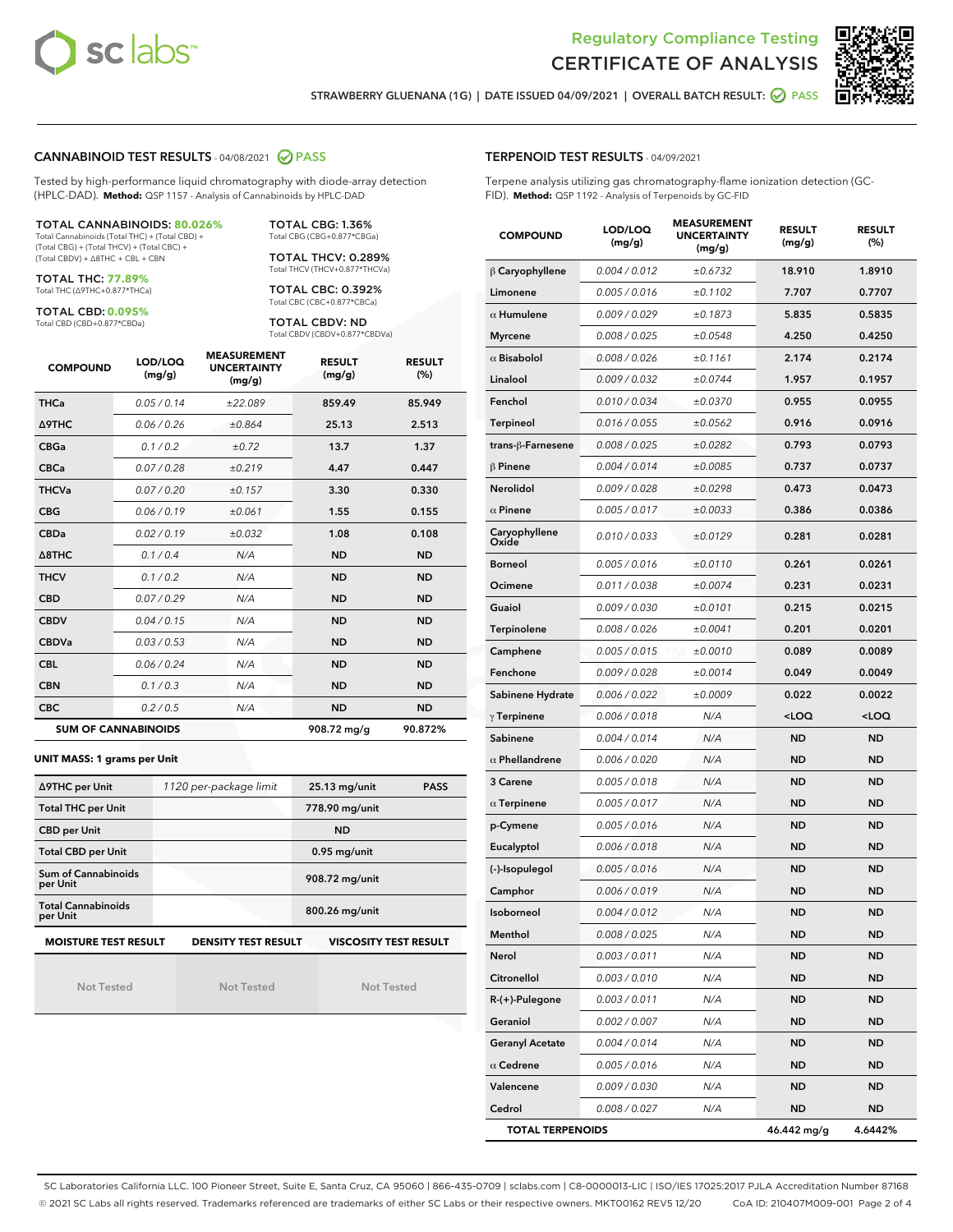



STRAWBERRY GLUENANA (1G) | DATE ISSUED 04/09/2021 | OVERALL BATCH RESULT: @ PASS

#### CANNABINOID TEST RESULTS - 04/08/2021 2 PASS

Tested by high-performance liquid chromatography with diode-array detection (HPLC-DAD). **Method:** QSP 1157 - Analysis of Cannabinoids by HPLC-DAD

#### TOTAL CANNABINOIDS: **80.026%**

Total Cannabinoids (Total THC) + (Total CBD) + (Total CBG) + (Total THCV) + (Total CBC) + (Total CBDV) + ∆8THC + CBL + CBN

TOTAL THC: **77.89%** Total THC (∆9THC+0.877\*THCa)

TOTAL CBD: **0.095%**

Total CBD (CBD+0.877\*CBDa)

TOTAL CBG: 1.36% Total CBG (CBG+0.877\*CBGa)

TOTAL THCV: 0.289% Total THCV (THCV+0.877\*THCVa)

TOTAL CBC: 0.392% Total CBC (CBC+0.877\*CBCa)

TOTAL CBDV: ND Total CBDV (CBDV+0.877\*CBDVa)

| <b>COMPOUND</b>  | LOD/LOQ<br>(mg/g)          | <b>MEASUREMENT</b><br><b>UNCERTAINTY</b><br>(mg/g) | <b>RESULT</b><br>(mg/g) | <b>RESULT</b><br>(%) |
|------------------|----------------------------|----------------------------------------------------|-------------------------|----------------------|
| <b>THCa</b>      | 0.05 / 0.14                | ±22.089                                            | 859.49                  | 85.949               |
| Δ9THC            | 0.06 / 0.26                | ±0.864                                             | 25.13                   | 2.513                |
| <b>CBGa</b>      | 0.1/0.2                    | ±0.72                                              | 13.7                    | 1.37                 |
| <b>CBCa</b>      | 0.07/0.28                  | ±0.219                                             | 4.47                    | 0.447                |
| <b>THCVa</b>     | 0.07/0.20                  | ±0.157                                             | 3.30                    | 0.330                |
| <b>CBG</b>       | 0.06/0.19                  | ±0.061                                             | 1.55                    | 0.155                |
| <b>CBDa</b>      | 0.02/0.19                  | ±0.032                                             | 1.08                    | 0.108                |
| $\triangle$ 8THC | 0.1/0.4                    | N/A                                                | <b>ND</b>               | <b>ND</b>            |
| <b>THCV</b>      | 0.1/0.2                    | N/A                                                | <b>ND</b>               | <b>ND</b>            |
| <b>CBD</b>       | 0.07/0.29                  | N/A                                                | <b>ND</b>               | <b>ND</b>            |
| <b>CBDV</b>      | 0.04 / 0.15                | N/A                                                | <b>ND</b>               | <b>ND</b>            |
| <b>CBDVa</b>     | 0.03/0.53                  | N/A                                                | <b>ND</b>               | <b>ND</b>            |
| <b>CBL</b>       | 0.06 / 0.24                | N/A                                                | <b>ND</b>               | <b>ND</b>            |
| <b>CBN</b>       | 0.1/0.3                    | N/A                                                | <b>ND</b>               | <b>ND</b>            |
| <b>CBC</b>       | 0.2 / 0.5                  | N/A                                                | <b>ND</b>               | <b>ND</b>            |
|                  | <b>SUM OF CANNABINOIDS</b> |                                                    | 908.72 mg/g             | 90.872%              |

#### **UNIT MASS: 1 grams per Unit**

| ∆9THC per Unit                        | 1120 per-package limit | 25.13 mg/unit<br><b>PASS</b> |
|---------------------------------------|------------------------|------------------------------|
| <b>Total THC per Unit</b>             |                        | 778.90 mg/unit               |
| <b>CBD per Unit</b>                   |                        | <b>ND</b>                    |
| <b>Total CBD per Unit</b>             |                        | $0.95$ mg/unit               |
| Sum of Cannabinoids<br>per Unit       |                        | 908.72 mg/unit               |
| <b>Total Cannabinoids</b><br>per Unit |                        | 800.26 mg/unit               |
| <b>MOISTURE TEST RESULT</b>           | DENSITY TEST RESULT    | <b>VISCOSITY TEST RESULT</b> |

Not Tested

Not Tested

Not Tested

#### TERPENOID TEST RESULTS - 04/09/2021

Terpene analysis utilizing gas chromatography-flame ionization detection (GC-FID). **Method:** QSP 1192 - Analysis of Terpenoids by GC-FID

| <b>COMPOUND</b>         | LOD/LOQ<br>(mg/g) | <b>MEASUREMENT</b><br><b>UNCERTAINTY</b><br>(mg/g) | <b>RESULT</b><br>(mg/g)                          | <b>RESULT</b><br>(%) |
|-------------------------|-------------------|----------------------------------------------------|--------------------------------------------------|----------------------|
| $\beta$ Caryophyllene   | 0.004 / 0.012     | ±0.6732                                            | 18.910                                           | 1.8910               |
| Limonene                | 0.005 / 0.016     | ±0.1102                                            | 7.707                                            | 0.7707               |
| $\alpha$ Humulene       | 0.009/0.029       | ±0.1873                                            | 5.835                                            | 0.5835               |
| <b>Myrcene</b>          | 0.008 / 0.025     | ±0.0548                                            | 4.250                                            | 0.4250               |
| $\alpha$ Bisabolol      | 0.008 / 0.026     | ±0.1161                                            | 2.174                                            | 0.2174               |
| Linalool                | 0.009 / 0.032     | ±0.0744                                            | 1.957                                            | 0.1957               |
| Fenchol                 | 0.010 / 0.034     | ±0.0370                                            | 0.955                                            | 0.0955               |
| Terpineol               | 0.016 / 0.055     | ±0.0562                                            | 0.916                                            | 0.0916               |
| trans-ß-Farnesene       | 0.008 / 0.025     | ±0.0282                                            | 0.793                                            | 0.0793               |
| $\beta$ Pinene          | 0.004 / 0.014     | ±0.0085                                            | 0.737                                            | 0.0737               |
| <b>Nerolidol</b>        | 0.009 / 0.028     | ±0.0298                                            | 0.473                                            | 0.0473               |
| $\alpha$ Pinene         | 0.005 / 0.017     | ±0.0033                                            | 0.386                                            | 0.0386               |
| Caryophyllene<br>Oxide  | 0.010 / 0.033     | ±0.0129                                            | 0.281                                            | 0.0281               |
| <b>Borneol</b>          | 0.005 / 0.016     | ±0.0110                                            | 0.261                                            | 0.0261               |
| Ocimene                 | 0.011 / 0.038     | ±0.0074                                            | 0.231                                            | 0.0231               |
| Guaiol                  | 0.009 / 0.030     | ±0.0101                                            | 0.215                                            | 0.0215               |
| Terpinolene             | 0.008 / 0.026     | ±0.0041                                            | 0.201                                            | 0.0201               |
| Camphene                | 0.005 / 0.015     | ±0.0010                                            | 0.089                                            | 0.0089               |
| Fenchone                | 0.009 / 0.028     | ±0.0014                                            | 0.049                                            | 0.0049               |
| Sabinene Hydrate        | 0.006 / 0.022     | ±0.0009                                            | 0.022                                            | 0.0022               |
| $\gamma$ Terpinene      | 0.006 / 0.018     | N/A                                                | <loq< th=""><th><math>&lt;</math>LOQ</th></loq<> | $<$ LOQ              |
| Sabinene                | 0.004 / 0.014     | N/A                                                | <b>ND</b>                                        | <b>ND</b>            |
| $\alpha$ Phellandrene   | 0.006 / 0.020     | N/A                                                | <b>ND</b>                                        | ND                   |
| 3 Carene                | 0.005 / 0.018     | N/A                                                | ND                                               | ND                   |
| $\alpha$ Terpinene      | 0.005 / 0.017     | N/A                                                | <b>ND</b>                                        | <b>ND</b>            |
| p-Cymene                | 0.005 / 0.016     | N/A                                                | <b>ND</b>                                        | ND                   |
| Eucalyptol              | 0.006 / 0.018     | N/A                                                | ND                                               | ND                   |
| (-)-Isopulegol          | 0.005 / 0.016     | N/A                                                | <b>ND</b>                                        | <b>ND</b>            |
| Camphor                 | 0.006 / 0.019     | N/A                                                | <b>ND</b>                                        | ND                   |
| <b>Isoborneol</b>       | 0.004 / 0.012     | N/A                                                | <b>ND</b>                                        | <b>ND</b>            |
| Menthol                 | 0.008 / 0.025     | N/A                                                | ND                                               | ND                   |
| Nerol                   | 0.003 / 0.011     | N/A                                                | ND                                               | ND                   |
| Citronellol             | 0.003 / 0.010     | N/A                                                | ND                                               | ND                   |
| R-(+)-Pulegone          | 0.003 / 0.011     | N/A                                                | <b>ND</b>                                        | ND                   |
| Geraniol                | 0.002 / 0.007     | N/A                                                | ND                                               | ND                   |
| <b>Geranyl Acetate</b>  | 0.004 / 0.014     | N/A                                                | ND                                               | ND                   |
| $\alpha$ Cedrene        | 0.005 / 0.016     | N/A                                                | ND                                               | ND                   |
| Valencene               | 0.009 / 0.030     | N/A                                                | ND                                               | ND                   |
| Cedrol                  | 0.008 / 0.027     | N/A                                                | <b>ND</b>                                        | ND                   |
| <b>TOTAL TERPENOIDS</b> |                   |                                                    | 46.442 mg/g                                      | 4.6442%              |

SC Laboratories California LLC. 100 Pioneer Street, Suite E, Santa Cruz, CA 95060 | 866-435-0709 | sclabs.com | C8-0000013-LIC | ISO/IES 17025:2017 PJLA Accreditation Number 87168 © 2021 SC Labs all rights reserved. Trademarks referenced are trademarks of either SC Labs or their respective owners. MKT00162 REV5 12/20 CoA ID: 210407M009-001 Page 2 of 4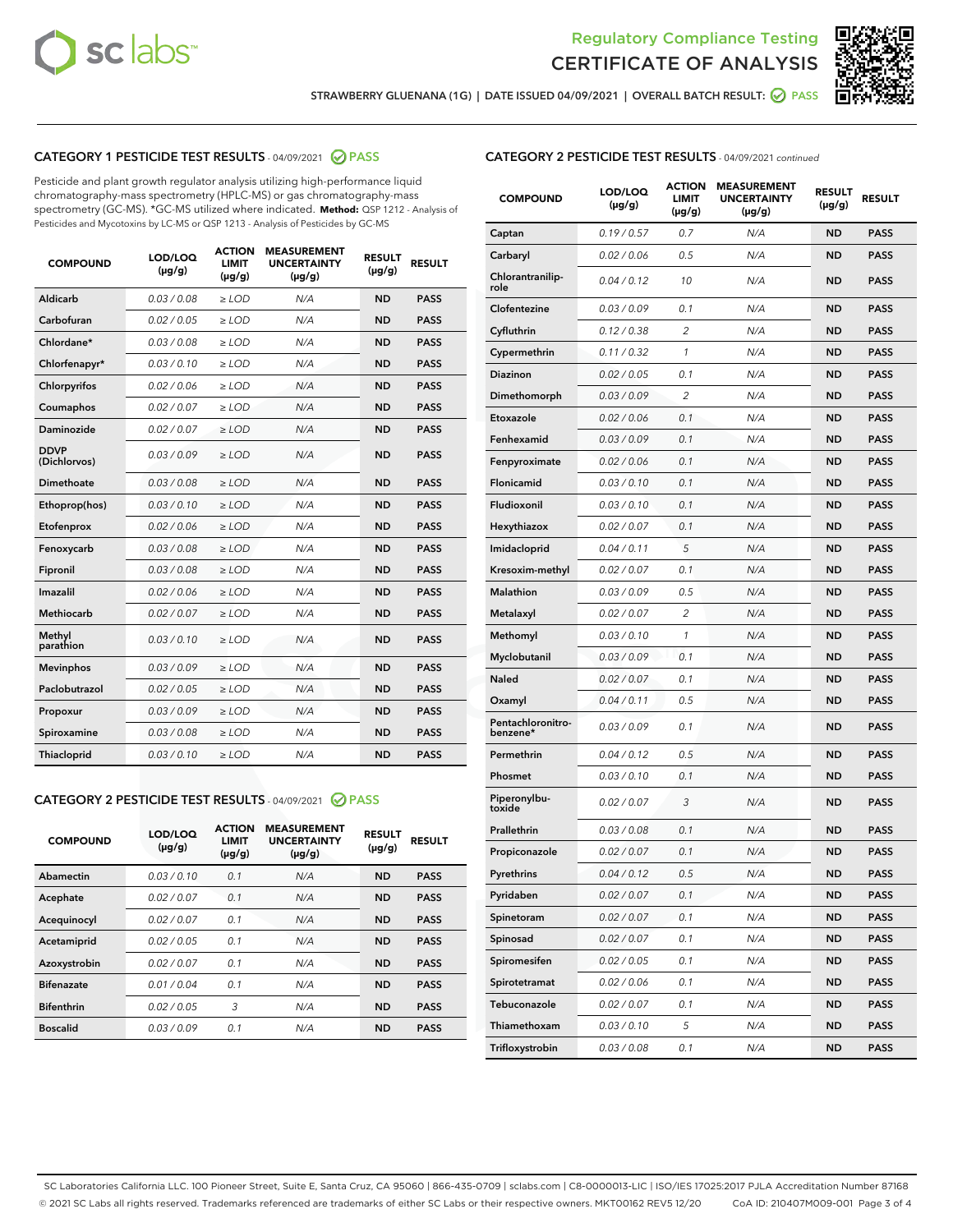



STRAWBERRY GLUENANA (1G) | DATE ISSUED 04/09/2021 | OVERALL BATCH RESULT: @ PASS

# CATEGORY 1 PESTICIDE TEST RESULTS - 04/09/2021 @ PASS

Pesticide and plant growth regulator analysis utilizing high-performance liquid chromatography-mass spectrometry (HPLC-MS) or gas chromatography-mass spectrometry (GC-MS). \*GC-MS utilized where indicated. **Method:** QSP 1212 - Analysis of Pesticides and Mycotoxins by LC-MS or QSP 1213 - Analysis of Pesticides by GC-MS

| <b>COMPOUND</b>             | LOD/LOQ<br>$(\mu g/g)$ | <b>ACTION</b><br><b>LIMIT</b><br>$(\mu g/g)$ | <b>MEASUREMENT</b><br><b>UNCERTAINTY</b><br>$(\mu g/g)$ | <b>RESULT</b><br>$(\mu g/g)$ | <b>RESULT</b> |
|-----------------------------|------------------------|----------------------------------------------|---------------------------------------------------------|------------------------------|---------------|
| Aldicarb                    | 0.03 / 0.08            | $\ge$ LOD                                    | N/A                                                     | <b>ND</b>                    | <b>PASS</b>   |
| Carbofuran                  | 0.02/0.05              | $>$ LOD                                      | N/A                                                     | <b>ND</b>                    | <b>PASS</b>   |
| Chlordane*                  | 0.03 / 0.08            | $\ge$ LOD                                    | N/A                                                     | <b>ND</b>                    | <b>PASS</b>   |
| Chlorfenapyr*               | 0.03/0.10              | $\ge$ LOD                                    | N/A                                                     | <b>ND</b>                    | <b>PASS</b>   |
| Chlorpyrifos                | 0.02 / 0.06            | $\ge$ LOD                                    | N/A                                                     | <b>ND</b>                    | <b>PASS</b>   |
| Coumaphos                   | 0.02 / 0.07            | $\ge$ LOD                                    | N/A                                                     | <b>ND</b>                    | <b>PASS</b>   |
| <b>Daminozide</b>           | 0.02 / 0.07            | $\ge$ LOD                                    | N/A                                                     | <b>ND</b>                    | <b>PASS</b>   |
| <b>DDVP</b><br>(Dichlorvos) | 0.03/0.09              | $\ge$ LOD                                    | N/A                                                     | <b>ND</b>                    | <b>PASS</b>   |
| <b>Dimethoate</b>           | 0.03 / 0.08            | $\ge$ LOD                                    | N/A                                                     | <b>ND</b>                    | <b>PASS</b>   |
| Ethoprop(hos)               | 0.03/0.10              | $\ge$ LOD                                    | N/A                                                     | <b>ND</b>                    | <b>PASS</b>   |
| Etofenprox                  | 0.02 / 0.06            | $\ge$ LOD                                    | N/A                                                     | <b>ND</b>                    | <b>PASS</b>   |
| Fenoxycarb                  | 0.03/0.08              | $\ge$ LOD                                    | N/A                                                     | <b>ND</b>                    | <b>PASS</b>   |
| Fipronil                    | 0.03 / 0.08            | $>$ LOD                                      | N/A                                                     | <b>ND</b>                    | <b>PASS</b>   |
| <b>Imazalil</b>             | 0.02 / 0.06            | $\ge$ LOD                                    | N/A                                                     | <b>ND</b>                    | <b>PASS</b>   |
| Methiocarb                  | 0.02 / 0.07            | $\ge$ LOD                                    | N/A                                                     | <b>ND</b>                    | <b>PASS</b>   |
| Methyl<br>parathion         | 0.03/0.10              | $\ge$ LOD                                    | N/A                                                     | <b>ND</b>                    | <b>PASS</b>   |
| <b>Mevinphos</b>            | 0.03/0.09              | $>$ LOD                                      | N/A                                                     | <b>ND</b>                    | <b>PASS</b>   |
| Paclobutrazol               | 0.02 / 0.05            | $\ge$ LOD                                    | N/A                                                     | <b>ND</b>                    | <b>PASS</b>   |
| Propoxur                    | 0.03/0.09              | $>$ LOD                                      | N/A                                                     | <b>ND</b>                    | <b>PASS</b>   |
| Spiroxamine                 | 0.03 / 0.08            | $\ge$ LOD                                    | N/A                                                     | <b>ND</b>                    | <b>PASS</b>   |
| <b>Thiacloprid</b>          | 0.03/0.10              | $\ge$ LOD                                    | N/A                                                     | <b>ND</b>                    | <b>PASS</b>   |

#### CATEGORY 2 PESTICIDE TEST RESULTS - 04/09/2021 @ PASS

| <b>COMPOUND</b>   | LOD/LOQ<br>$(\mu g/g)$ | <b>ACTION</b><br><b>LIMIT</b><br>$(\mu g/g)$ | <b>MEASUREMENT</b><br><b>UNCERTAINTY</b><br>$(\mu g/g)$ | <b>RESULT</b><br>$(\mu g/g)$ | <b>RESULT</b> |
|-------------------|------------------------|----------------------------------------------|---------------------------------------------------------|------------------------------|---------------|
| Abamectin         | 0.03/0.10              | 0.1                                          | N/A                                                     | <b>ND</b>                    | <b>PASS</b>   |
| Acephate          | 0.02/0.07              | 0.1                                          | N/A                                                     | <b>ND</b>                    | <b>PASS</b>   |
| Acequinocyl       | 0.02/0.07              | 0.1                                          | N/A                                                     | <b>ND</b>                    | <b>PASS</b>   |
| Acetamiprid       | 0.02/0.05              | 0.1                                          | N/A                                                     | <b>ND</b>                    | <b>PASS</b>   |
| Azoxystrobin      | 0.02/0.07              | 0.1                                          | N/A                                                     | <b>ND</b>                    | <b>PASS</b>   |
| <b>Bifenazate</b> | 0.01/0.04              | 0.1                                          | N/A                                                     | <b>ND</b>                    | <b>PASS</b>   |
| <b>Bifenthrin</b> | 0.02/0.05              | 3                                            | N/A                                                     | <b>ND</b>                    | <b>PASS</b>   |
| <b>Boscalid</b>   | 0.03/0.09              | 0.1                                          | N/A                                                     | <b>ND</b>                    | <b>PASS</b>   |

| <b>CATEGORY 2 PESTICIDE TEST RESULTS</b> - 04/09/2021 continued |
|-----------------------------------------------------------------|
|-----------------------------------------------------------------|

| <b>COMPOUND</b>               | LOD/LOQ<br>(µg/g) | <b>ACTION</b><br>LIMIT<br>$(\mu g/g)$ | <b>MEASUREMENT</b><br><b>UNCERTAINTY</b><br>(µg/g) | <b>RESULT</b><br>(µg/g) | <b>RESULT</b> |
|-------------------------------|-------------------|---------------------------------------|----------------------------------------------------|-------------------------|---------------|
| Captan                        | 0.19/0.57         | 0.7                                   | N/A                                                | ND                      | <b>PASS</b>   |
| Carbaryl                      | 0.02 / 0.06       | 0.5                                   | N/A                                                | ND                      | <b>PASS</b>   |
| Chlorantranilip-<br>role      | 0.04 / 0.12       | 10                                    | N/A                                                | ND                      | <b>PASS</b>   |
| Clofentezine                  | 0.03 / 0.09       | 0.1                                   | N/A                                                | ND                      | <b>PASS</b>   |
| Cyfluthrin                    | 0.12 / 0.38       | 2                                     | N/A                                                | ND                      | <b>PASS</b>   |
| Cypermethrin                  | 0.11/0.32         | 1                                     | N/A                                                | ND                      | <b>PASS</b>   |
| Diazinon                      | 0.02 / 0.05       | 0.1                                   | N/A                                                | ND                      | <b>PASS</b>   |
| Dimethomorph                  | 0.03/0.09         | 2                                     | N/A                                                | ND                      | <b>PASS</b>   |
| Etoxazole                     | 0.02 / 0.06       | 0.1                                   | N/A                                                | ND                      | <b>PASS</b>   |
| Fenhexamid                    | 0.03 / 0.09       | 0.1                                   | N/A                                                | ND                      | <b>PASS</b>   |
| Fenpyroximate                 | 0.02 / 0.06       | 0.1                                   | N/A                                                | ND                      | <b>PASS</b>   |
| Flonicamid                    | 0.03 / 0.10       | 0.1                                   | N/A                                                | ND                      | <b>PASS</b>   |
| Fludioxonil                   | 0.03 / 0.10       | 0.1                                   | N/A                                                | ND                      | <b>PASS</b>   |
| Hexythiazox                   | 0.02 / 0.07       | 0.1                                   | N/A                                                | ND                      | <b>PASS</b>   |
| Imidacloprid                  | 0.04 / 0.11       | 5                                     | N/A                                                | ND                      | <b>PASS</b>   |
| Kresoxim-methyl               | 0.02 / 0.07       | 0.1                                   | N/A                                                | ND                      | <b>PASS</b>   |
| Malathion                     | 0.03/0.09         | 0.5                                   | N/A                                                | ND                      | <b>PASS</b>   |
| Metalaxyl                     | 0.02 / 0.07       | 2                                     | N/A                                                | ND                      | <b>PASS</b>   |
| Methomyl                      | 0.03 / 0.10       | 1                                     | N/A                                                | ND                      | <b>PASS</b>   |
| Myclobutanil                  | 0.03 / 0.09       | 0.1                                   | N/A                                                | ND                      | PASS          |
| Naled                         | 0.02 / 0.07       | 0.1                                   | N/A                                                | ND                      | <b>PASS</b>   |
| Oxamyl                        | 0.04 / 0.11       | 0.5                                   | N/A                                                | ND                      | PASS          |
| Pentachloronitro-<br>benzene* | 0.03 / 0.09       | 0.1                                   | N/A                                                | ND                      | <b>PASS</b>   |
| Permethrin                    | 0.04 / 0.12       | 0.5                                   | N/A                                                | ND                      | <b>PASS</b>   |
| Phosmet                       | 0.03/0.10         | 0.1                                   | N/A                                                | ND                      | <b>PASS</b>   |
| Piperonylbu-<br>toxide        | 0.02 / 0.07       | 3                                     | N/A                                                | ND                      | PASS          |
| Prallethrin                   | 0.03 / 0.08       | 0.1                                   | N/A                                                | ND                      | PASS          |
| Propiconazole                 | 0.02 / 0.07       | 0.1                                   | N/A                                                | ND                      | <b>PASS</b>   |
| Pyrethrins                    | 0.04 / 0.12       | 0.5                                   | N/A                                                | ND                      | <b>PASS</b>   |
| Pyridaben                     | 0.02 / 0.07       | 0.1                                   | N/A                                                | ND                      | <b>PASS</b>   |
| Spinetoram                    | 0.02 / 0.07       | 0.1                                   | N/A                                                | ND                      | <b>PASS</b>   |
| Spinosad                      | 0.02 / 0.07       | 0.1                                   | N/A                                                | ND                      | PASS          |
| Spiromesifen                  | 0.02 / 0.05       | 0.1                                   | N/A                                                | ND                      | <b>PASS</b>   |
| Spirotetramat                 | 0.02 / 0.06       | 0.1                                   | N/A                                                | ND                      | <b>PASS</b>   |
| Tebuconazole                  | 0.02 / 0.07       | 0.1                                   | N/A                                                | ND                      | <b>PASS</b>   |
| Thiamethoxam                  | 0.03 / 0.10       | 5                                     | N/A                                                | ND                      | <b>PASS</b>   |
| Trifloxystrobin               | 0.03 / 0.08       | 0.1                                   | N/A                                                | <b>ND</b>               | <b>PASS</b>   |